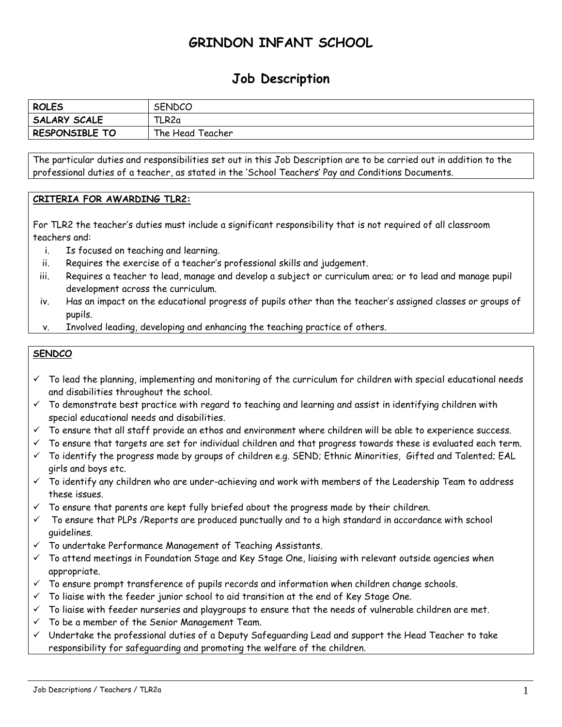## **GRINDON INFANT SCHOOL**

## **Job Description**

| <b>ROLES</b>        | <b>SENDCO</b>    |
|---------------------|------------------|
| <b>SALARY SCALE</b> | TLR2a            |
| RESPONSIBLE TO      | The Head Teacher |

The particular duties and responsibilities set out in this Job Description are to be carried out in addition to the professional duties of a teacher, as stated in the 'School Teachers' Pay and Conditions Documents.

## **CRITERIA FOR AWARDING TLR2:**

For TLR2 the teacher's duties must include a significant responsibility that is not required of all classroom teachers and:

- i. Is focused on teaching and learning.
- ii. Requires the exercise of a teacher's professional skills and judgement.
- iii. Requires a teacher to lead, manage and develop a subject or curriculum area; or to lead and manage pupil development across the curriculum.
- iv. Has an impact on the educational progress of pupils other than the teacher's assigned classes or groups of pupils.
- v. Involved leading, developing and enhancing the teaching practice of others.

## **SENDCO**

- $\checkmark$  To lead the planning, implementing and monitoring of the curriculum for children with special educational needs and disabilities throughout the school.
- $\checkmark$  To demonstrate best practice with regard to teaching and learning and assist in identifying children with special educational needs and disabilities.
- $\checkmark$  To ensure that all staff provide an ethos and environment where children will be able to experience success.
- $\checkmark$  To ensure that targets are set for individual children and that progress towards these is evaluated each term.
- $\checkmark$  To identify the progress made by groups of children e.g. SEND; Ethnic Minorities, Gifted and Talented; EAL girls and boys etc.
- $\checkmark$  To identify any children who are under-achieving and work with members of the Leadership Team to address these issues.
- $\checkmark$  To ensure that parents are kept fully briefed about the progress made by their children.
- $\checkmark$  To ensure that PLPs /Reports are produced punctually and to a high standard in accordance with school guidelines.
- $\checkmark$  To undertake Performance Management of Teaching Assistants.
- $\checkmark$  To attend meetings in Foundation Stage and Key Stage One, liaising with relevant outside agencies when appropriate.
- $\checkmark$  To ensure prompt transference of pupils records and information when children change schools.
- $\checkmark$  To liaise with the feeder junior school to aid transition at the end of Key Stage One.
- $\checkmark$  To liaise with feeder nurseries and playgroups to ensure that the needs of vulnerable children are met.
- To be a member of the Senior Management Team.
- $\checkmark$  Undertake the professional duties of a Deputy Safeguarding Lead and support the Head Teacher to take responsibility for safeguarding and promoting the welfare of the children.